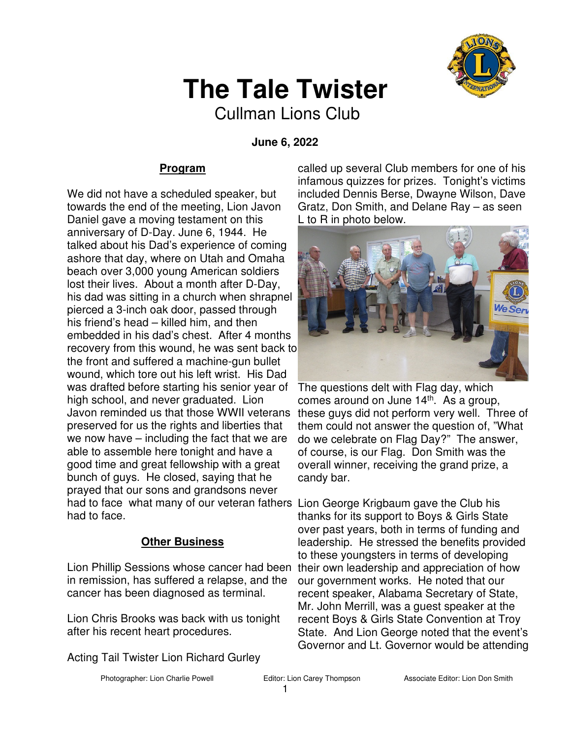

# **The Tale Twister**

Cullman Lions Club

 **June 6, 2022** 

### **Program**

We did not have a scheduled speaker, but towards the end of the meeting, Lion Javon Daniel gave a moving testament on this anniversary of D-Day. June 6, 1944. He talked about his Dad's experience of coming ashore that day, where on Utah and Omaha beach over 3,000 young American soldiers lost their lives. About a month after D-Day, his dad was sitting in a church when shrapnel pierced a 3-inch oak door, passed through his friend's head – killed him, and then embedded in his dad's chest. After 4 months recovery from this wound, he was sent back to the front and suffered a machine-gun bullet wound, which tore out his left wrist. His Dad was drafted before starting his senior year of high school, and never graduated. Lion Javon reminded us that those WWII veterans preserved for us the rights and liberties that we now have – including the fact that we are able to assemble here tonight and have a good time and great fellowship with a great bunch of guys. He closed, saying that he prayed that our sons and grandsons never had to face what many of our veteran fathers Lion George Krigbaum gave the Club his had to face.

### **Other Business**

Lion Phillip Sessions whose cancer had been in remission, has suffered a relapse, and the cancer has been diagnosed as terminal.

Lion Chris Brooks was back with us tonight after his recent heart procedures.

Acting Tail Twister Lion Richard Gurley

called up several Club members for one of his infamous quizzes for prizes. Tonight's victims included Dennis Berse, Dwayne Wilson, Dave Gratz, Don Smith, and Delane Ray – as seen L to R in photo below.



The questions delt with Flag day, which comes around on June  $14<sup>th</sup>$ . As a group, these guys did not perform very well. Three of them could not answer the question of, "What do we celebrate on Flag Day?" The answer, of course, is our Flag. Don Smith was the overall winner, receiving the grand prize, a candy bar.

thanks for its support to Boys & Girls State over past years, both in terms of funding and leadership. He stressed the benefits provided to these youngsters in terms of developing their own leadership and appreciation of how our government works. He noted that our recent speaker, Alabama Secretary of State, Mr. John Merrill, was a guest speaker at the recent Boys & Girls State Convention at Troy State. And Lion George noted that the event's Governor and Lt. Governor would be attending